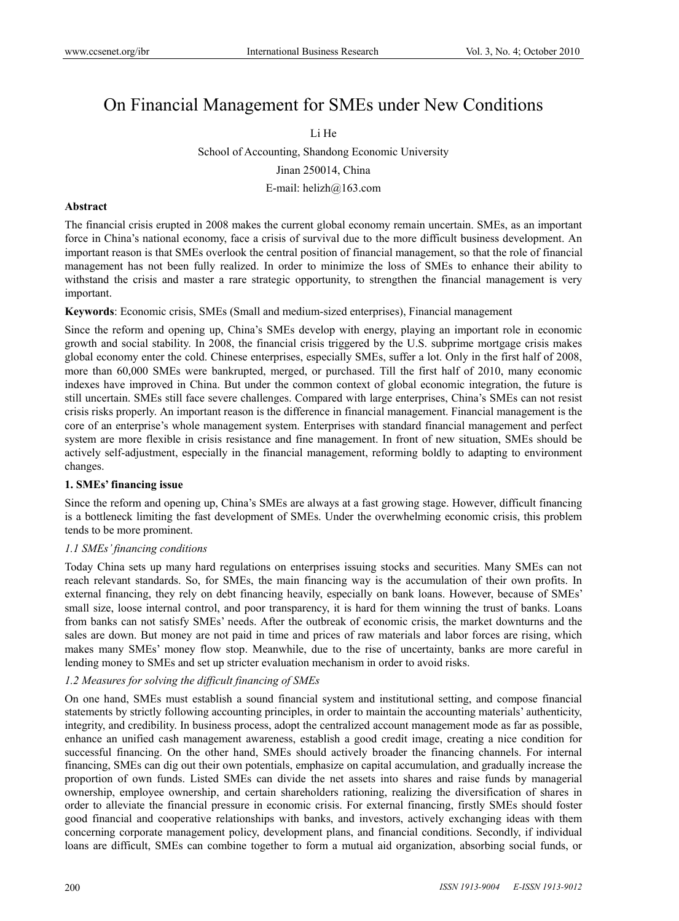# On Financial Management for SMEs under New Conditions

Li He

School of Accounting, Shandong Economic University Jinan 250014, China E-mail: helizh@163.com

## **Abstract**

The financial crisis erupted in 2008 makes the current global economy remain uncertain. SMEs, as an important force in China's national economy, face a crisis of survival due to the more difficult business development. An important reason is that SMEs overlook the central position of financial management, so that the role of financial management has not been fully realized. In order to minimize the loss of SMEs to enhance their ability to withstand the crisis and master a rare strategic opportunity, to strengthen the financial management is very important.

**Keywords**: Economic crisis, SMEs (Small and medium-sized enterprises), Financial management

Since the reform and opening up, China's SMEs develop with energy, playing an important role in economic growth and social stability. In 2008, the financial crisis triggered by the U.S. subprime mortgage crisis makes global economy enter the cold. Chinese enterprises, especially SMEs, suffer a lot. Only in the first half of 2008, more than 60,000 SMEs were bankrupted, merged, or purchased. Till the first half of 2010, many economic indexes have improved in China. But under the common context of global economic integration, the future is still uncertain. SMEs still face severe challenges. Compared with large enterprises, China's SMEs can not resist crisis risks properly. An important reason is the difference in financial management. Financial management is the core of an enterprise's whole management system. Enterprises with standard financial management and perfect system are more flexible in crisis resistance and fine management. In front of new situation, SMEs should be actively self-adjustment, especially in the financial management, reforming boldly to adapting to environment changes.

## **1. SMEs' financing issue**

Since the reform and opening up, China's SMEs are always at a fast growing stage. However, difficult financing is a bottleneck limiting the fast development of SMEs. Under the overwhelming economic crisis, this problem tends to be more prominent.

## *1.1 SMEs' financing conditions*

Today China sets up many hard regulations on enterprises issuing stocks and securities. Many SMEs can not reach relevant standards. So, for SMEs, the main financing way is the accumulation of their own profits. In external financing, they rely on debt financing heavily, especially on bank loans. However, because of SMEs' small size, loose internal control, and poor transparency, it is hard for them winning the trust of banks. Loans from banks can not satisfy SMEs' needs. After the outbreak of economic crisis, the market downturns and the sales are down. But money are not paid in time and prices of raw materials and labor forces are rising, which makes many SMEs' money flow stop. Meanwhile, due to the rise of uncertainty, banks are more careful in lending money to SMEs and set up stricter evaluation mechanism in order to avoid risks.

# *1.2 Measures for solving the difficult financing of SMEs*

On one hand, SMEs must establish a sound financial system and institutional setting, and compose financial statements by strictly following accounting principles, in order to maintain the accounting materials' authenticity, integrity, and credibility. In business process, adopt the centralized account management mode as far as possible, enhance an unified cash management awareness, establish a good credit image, creating a nice condition for successful financing. On the other hand, SMEs should actively broader the financing channels. For internal financing, SMEs can dig out their own potentials, emphasize on capital accumulation, and gradually increase the proportion of own funds. Listed SMEs can divide the net assets into shares and raise funds by managerial ownership, employee ownership, and certain shareholders rationing, realizing the diversification of shares in order to alleviate the financial pressure in economic crisis. For external financing, firstly SMEs should foster good financial and cooperative relationships with banks, and investors, actively exchanging ideas with them concerning corporate management policy, development plans, and financial conditions. Secondly, if individual loans are difficult, SMEs can combine together to form a mutual aid organization, absorbing social funds, or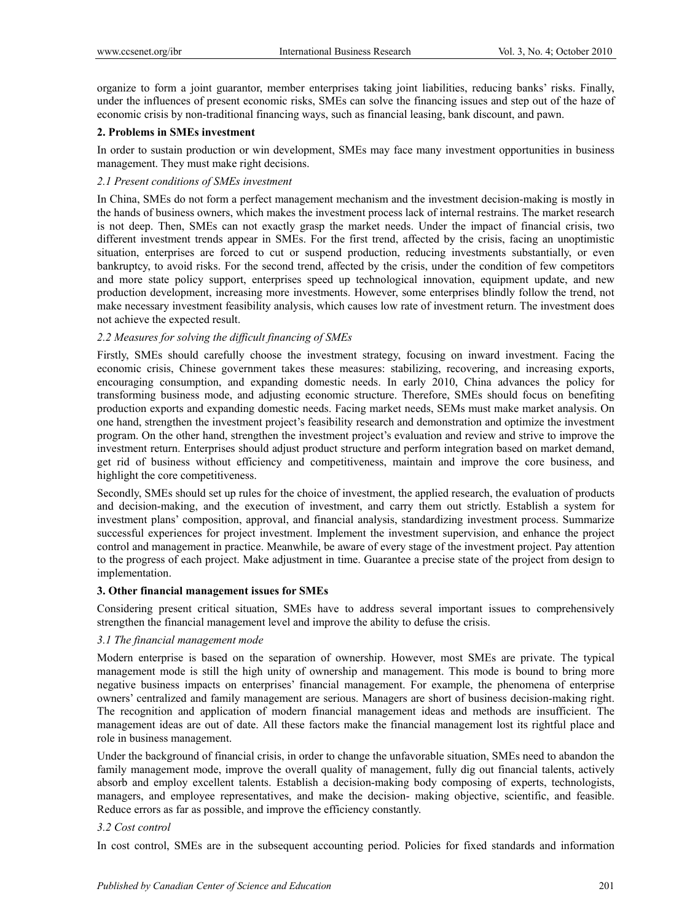organize to form a joint guarantor, member enterprises taking joint liabilities, reducing banks' risks. Finally, under the influences of present economic risks, SMEs can solve the financing issues and step out of the haze of economic crisis by non-traditional financing ways, such as financial leasing, bank discount, and pawn.

#### **2. Problems in SMEs investment**

In order to sustain production or win development, SMEs may face many investment opportunities in business management. They must make right decisions.

# *2.1 Present conditions of SMEs investment*

In China, SMEs do not form a perfect management mechanism and the investment decision-making is mostly in the hands of business owners, which makes the investment process lack of internal restrains. The market research is not deep. Then, SMEs can not exactly grasp the market needs. Under the impact of financial crisis, two different investment trends appear in SMEs. For the first trend, affected by the crisis, facing an unoptimistic situation, enterprises are forced to cut or suspend production, reducing investments substantially, or even bankruptcy, to avoid risks. For the second trend, affected by the crisis, under the condition of few competitors and more state policy support, enterprises speed up technological innovation, equipment update, and new production development, increasing more investments. However, some enterprises blindly follow the trend, not make necessary investment feasibility analysis, which causes low rate of investment return. The investment does not achieve the expected result.

# *2.2 Measures for solving the difficult financing of SMEs*

Firstly, SMEs should carefully choose the investment strategy, focusing on inward investment. Facing the economic crisis, Chinese government takes these measures: stabilizing, recovering, and increasing exports, encouraging consumption, and expanding domestic needs. In early 2010, China advances the policy for transforming business mode, and adjusting economic structure. Therefore, SMEs should focus on benefiting production exports and expanding domestic needs. Facing market needs, SEMs must make market analysis. On one hand, strengthen the investment project's feasibility research and demonstration and optimize the investment program. On the other hand, strengthen the investment project's evaluation and review and strive to improve the investment return. Enterprises should adjust product structure and perform integration based on market demand, get rid of business without efficiency and competitiveness, maintain and improve the core business, and highlight the core competitiveness.

Secondly, SMEs should set up rules for the choice of investment, the applied research, the evaluation of products and decision-making, and the execution of investment, and carry them out strictly. Establish a system for investment plans' composition, approval, and financial analysis, standardizing investment process. Summarize successful experiences for project investment. Implement the investment supervision, and enhance the project control and management in practice. Meanwhile, be aware of every stage of the investment project. Pay attention to the progress of each project. Make adjustment in time. Guarantee a precise state of the project from design to implementation.

#### **3. Other financial management issues for SMEs**

Considering present critical situation, SMEs have to address several important issues to comprehensively strengthen the financial management level and improve the ability to defuse the crisis.

#### *3.1 The financial management mode*

Modern enterprise is based on the separation of ownership. However, most SMEs are private. The typical management mode is still the high unity of ownership and management. This mode is bound to bring more negative business impacts on enterprises' financial management. For example, the phenomena of enterprise owners' centralized and family management are serious. Managers are short of business decision-making right. The recognition and application of modern financial management ideas and methods are insufficient. The management ideas are out of date. All these factors make the financial management lost its rightful place and role in business management.

Under the background of financial crisis, in order to change the unfavorable situation, SMEs need to abandon the family management mode, improve the overall quality of management, fully dig out financial talents, actively absorb and employ excellent talents. Establish a decision-making body composing of experts, technologists, managers, and employee representatives, and make the decision- making objective, scientific, and feasible. Reduce errors as far as possible, and improve the efficiency constantly.

#### *3.2 Cost control*

In cost control, SMEs are in the subsequent accounting period. Policies for fixed standards and information